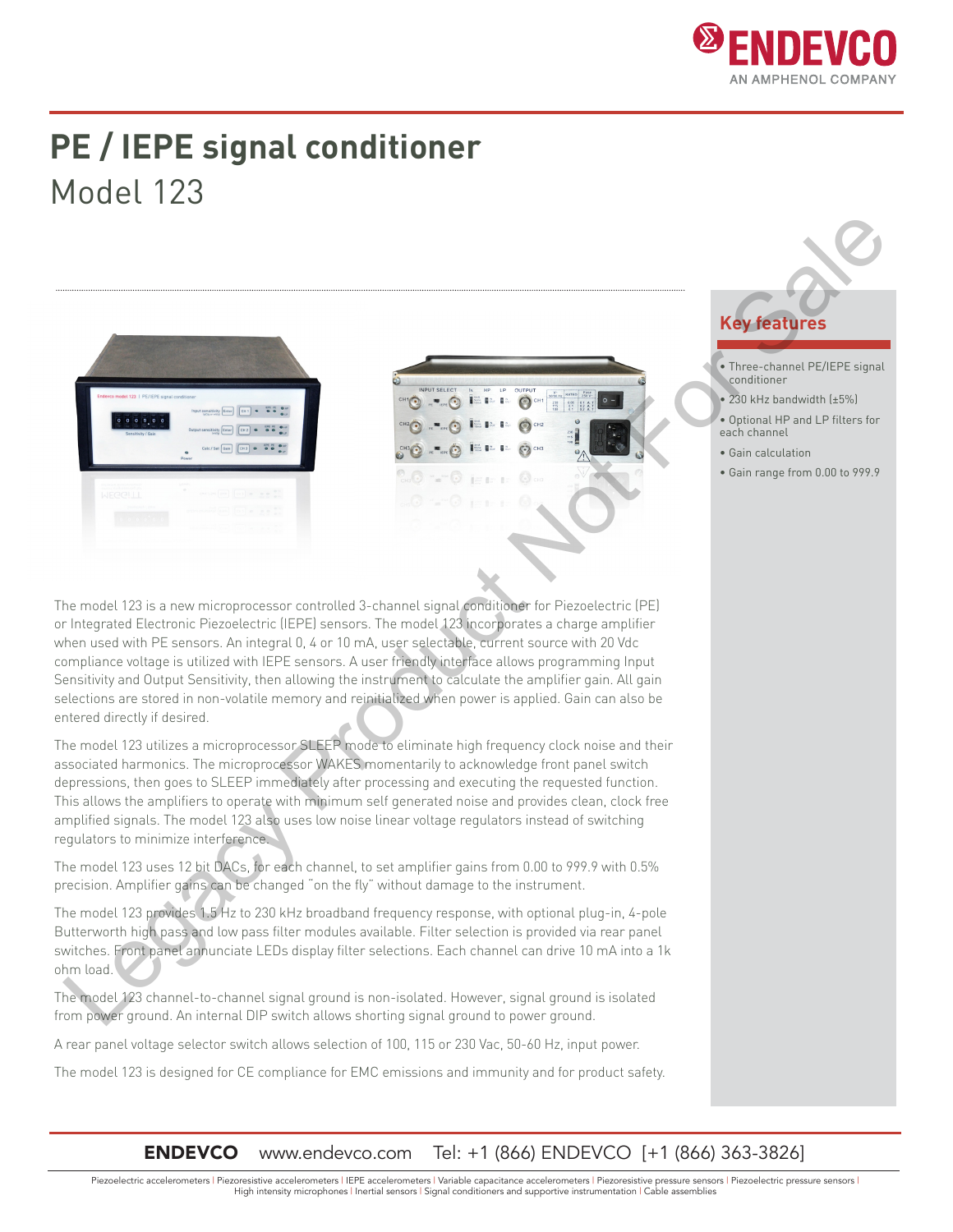

## **PE / IEPE signal conditioner** Model 123







- Three-channel PE/IEPE signal conditioner
- 230 kHz bandwidth (±5%)
- Optional HP and LP filters for each channel
- Gain calculation
- Gain range from 0.00 to 999.9

The model 123 is a new microprocessor controlled 3-channel signal conditioner for Piezoelectric (PE) or Integrated Electronic Piezoelectric (IEPE) sensors. The model 123 incorporates a charge amplifier when used with PE sensors. An integral 0, 4 or 10 mA, user selectable, current source with 20 Vdc compliance voltage is utilized with IEPE sensors. A user friendly interface allows programming Input Sensitivity and Output Sensitivity, then allowing the instrument to calculate the amplifier gain. All gain selections are stored in non-volatile memory and reinitialized when power is applied. Gain can also be entered directly if desired. Legacy Product Not For Sale

The model 123 utilizes a microprocessor SLEEP mode to eliminate high frequency clock noise and their associated harmonics. The microprocessor WAKES momentarily to acknowledge front panel switch depressions, then goes to SLEEP immediately after processing and executing the requested function. This allows the amplifiers to operate with minimum self generated noise and provides clean, clock free amplified signals. The model 123 also uses low noise linear voltage regulators instead of switching regulators to minimize interference.

The model 123 uses 12 bit DACs, for each channel, to set amplifier gains from 0.00 to 999.9 with 0.5% precision. Amplifier gains can be changed "on the fly" without damage to the instrument.

The model 123 provides 1.5 Hz to 230 kHz broadband frequency response, with optional plug-in, 4-pole Butterworth high pass and low pass filter modules available. Filter selection is provided via rear panel switches. Front panel annunciate LEDs display filter selections. Each channel can drive 10 mA into a 1k ohm load.

The model 123 channel-to-channel signal ground is non-isolated. However, signal ground is isolated from power ground. An internal DIP switch allows shorting signal ground to power ground.

A rear panel voltage selector switch allows selection of 100, 115 or 230 Vac, 50-60 Hz, input power.

The model 123 is designed for CE compliance for EMC emissions and immunity and for product safety.

### **ENDEVCO** www.endevco.com Tel: +1 (866) ENDEVCO [+1 (866) 363-3826]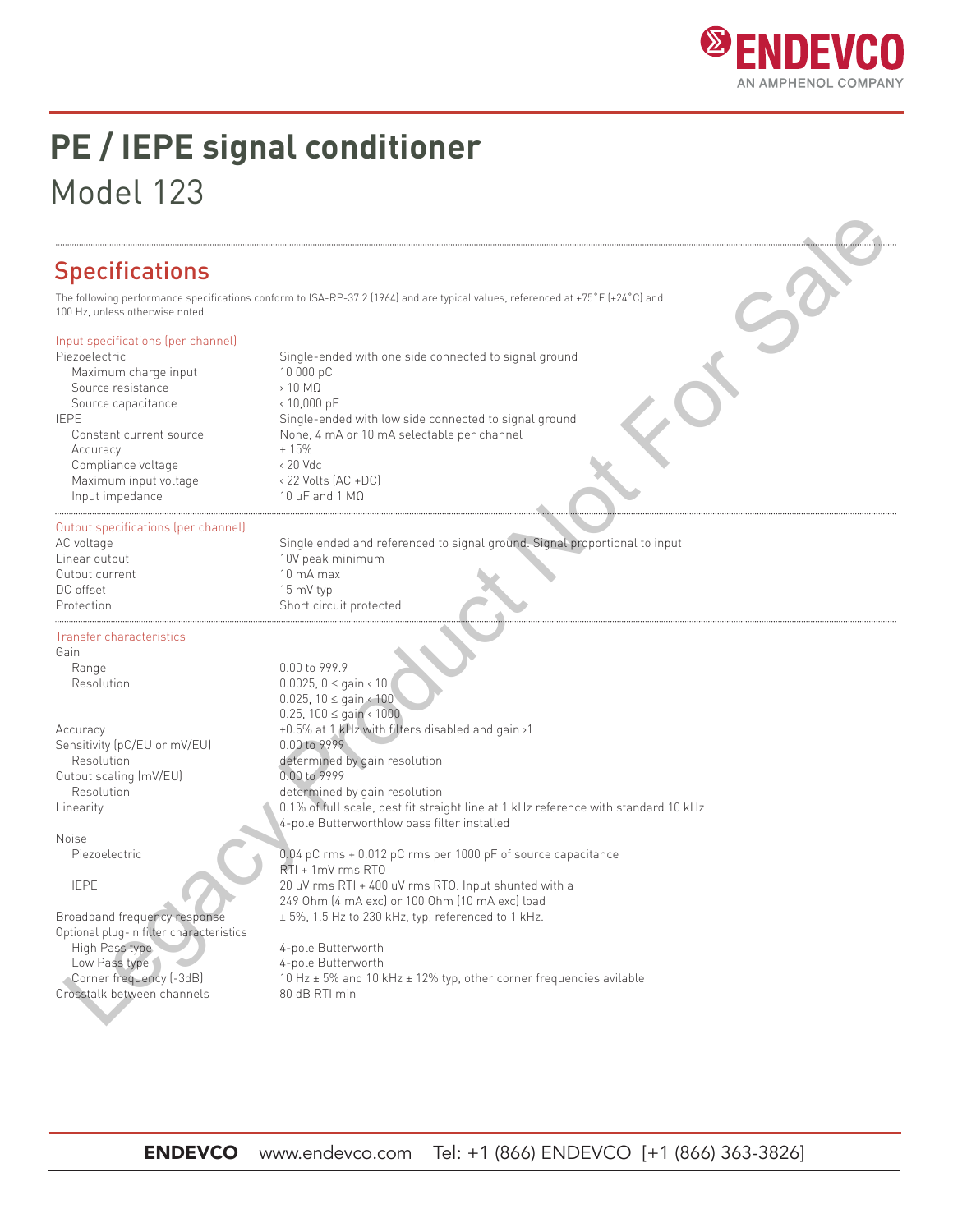

# **PE / IEPE signal conditioner** Model 123

### **Specifications**

The following performance specifications conform to ISA-RP-37.2 (1964) and are typical values, referenced at +75˚F (+24˚C) and 100 Hz, unless otherwise noted.

#### Input specifications (per channel)

Maximum charge input 10 000 pC Source resistance > 10 MΩ<br>Source capacitance > 10,000 pF Source capacitance  $\text{Accuracy}$   $+ 15\%$  Compliance voltage < 20 Vdc Maximum input voltage < 22 Volts (AC +DC) Input impedance 10 μF and 1 MΩ

Piezoelectric **Single-ended** with one side connected to signal ground IEPE Single-ended with low side connected to signal ground Constant current source None, 4 mA or 10 mA selectable per channel

#### Output specifications (per channel)

Output current 10 mA max<br>DC offset 15 mV tvp

Transfer characteristics

Gain

Sensitivity (pC/EU or mV/EU) Output scaling (mV/EU) 0.00 to 9999

Noise

Optional plug-in filter characteristics High Pass type 4-pole Butterworth Low Pass type 4-pole Butterworth Crosstalk between channels 80 dB RTI min

AC voltage Single ended and referenced to signal ground. Signal proportional to input Linear output 10V peak minimum 15 mV typ Protection Short circuit protected

Range  $0.00$  to 999.9<br>Resolution  $0.0075$ ,  $0 < a$ 0.0025, 0 ≤ gain < 10 0.025, 10 ≤ gain < 100 0.25, 100 ≤ gain < 1000 Accuracy  $\pm 0.5\%$  at 1 kHz with filters disabled and gain >1<br>Sensitivity (pC/EU or mV/EU) 0.00 to 9999 Resolution **Resolution** determined by gain resolution Resolution determined by gain resolution Linearity **Example 2.1%** O.1% of full scale, best fit straight line at 1 kHz reference with standard 10 kHz 4-pole Butterworthlow pass filter installed **Example 11.** (a)  $\frac{1}{2}$  (b)  $\frac{1}{2}$  (b)  $\frac{1}{2}$  (b)  $\frac{1}{2}$  (b)  $\frac{1}{2}$  (b)  $\frac{1}{2}$  (b)  $\frac{1}{2}$  (b)  $\frac{1}{2}$  (b)  $\frac{1}{2}$  (b)  $\frac{1}{2}$  (b)  $\frac{1}{2}$  (c)  $\frac{1}{2}$  (c)  $\frac{1}{2}$  (c)  $\frac{1}{2}$  (e)  $\frac{1}{2$ 

Piezoelectric 0.04 pC rms + 0.012 pC rms per 1000 pF of source capacitance RTI + 1mV rms RTO IEPE 20 uV rms RTI + 400 uV rms RTO. Input shunted with a 249 Ohm (4 mA exc) or 100 Ohm (10 mA exc) load Broadband frequency response  $\pm 5\%$ , 1.5 Hz to 230 kHz, typ, referenced to 1 kHz.

Corner frequency (-3dB) 10 Hz ± 5% and 10 kHz ± 12% typ, other corner frequencies avilable